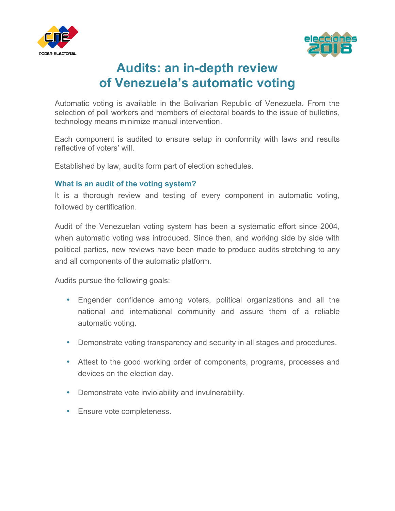



# **Audits: an in-depth review of Venezuela's automatic voting**

Automatic voting is available in the Bolivarian Republic of Venezuela. From the selection of poll workers and members of electoral boards to the issue of bulletins, technology means minimize manual intervention.

Each component is audited to ensure setup in conformity with laws and results reflective of voters' will.

Established by law, audits form part of election schedules.

# **What is an audit of the voting system?**

It is a thorough review and testing of every component in automatic voting, followed by certification.

Audit of the Venezuelan voting system has been a systematic effort since 2004, when automatic voting was introduced. Since then, and working side by side with political parties, new reviews have been made to produce audits stretching to any and all components of the automatic platform.

Audits pursue the following goals:

- Engender confidence among voters, political organizations and all the national and international community and assure them of a reliable automatic voting.
- Demonstrate voting transparency and security in all stages and procedures.
- Attest to the good working order of components, programs, processes and devices on the election day.
- Demonstrate vote inviolability and invulnerability.
- Ensure vote completeness.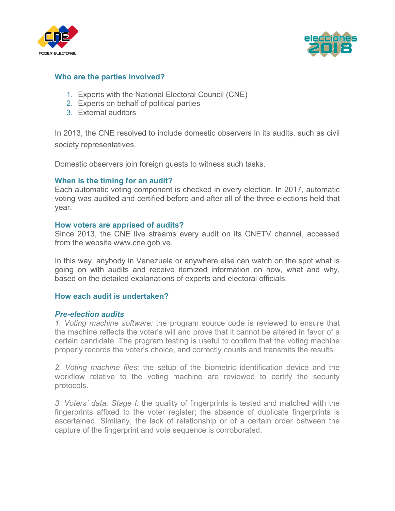



## **Who are the parties involved?**

- 1. Experts with the National Electoral Council (CNE)
- 2. Experts on behalf of political parties
- 3. External auditors

In 2013, the CNE resolved to include domestic observers in its audits, such as civil society representatives.

Domestic observers join foreign guests to witness such tasks.

#### **When is the timing for an audit?**

Each automatic voting component is checked in every election. In 2017, automatic voting was audited and certified before and after all of the three elections held that year.

#### **How voters are apprised of audits?**

Since 2013, the CNE live streams every audit on its CNETV channel, accessed from the website www.cne.gob.ve.

In this way, anybody in Venezuela or anywhere else can watch on the spot what is going on with audits and receive itemized information on how, what and why, based on the detailed explanations of experts and electoral officials.

#### **How each audit is undertaken?**

#### *Pre-election audits*

*1. Voting machine software:* the program source code is reviewed to ensure that the machine reflects the voter's will and prove that it cannot be altered in favor of a certain candidate. The program testing is useful to confirm that the voting machine properly records the voter's choice, and correctly counts and transmits the results.

*2. Voting machine files:* the setup of the biometric identification device and the workflow relative to the voting machine are reviewed to certify the security protocols.

*3. Voters' data. Stage I:* the quality of fingerprints is tested and matched with the fingerprints affixed to the voter register; the absence of duplicate fingerprints is ascertained. Similarly, the lack of relationship or of a certain order between the capture of the fingerprint and vote sequence is corroborated.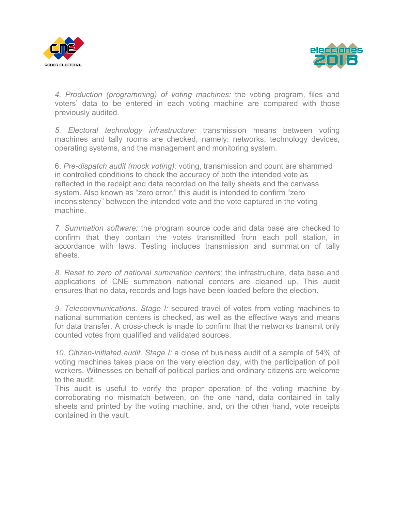



*4. Production (programming) of voting machines:* the voting program, files and voters' data to be entered in each voting machine are compared with those previously audited.

*5. Electoral technology infrastructure:* transmission means between voting machines and tally rooms are checked, namely: networks, technology devices, operating systems, and the management and monitoring system.

6. *Pre-dispatch audit (mock voting):* voting, transmission and count are shammed in controlled conditions to check the accuracy of both the intended vote as reflected in the receipt and data recorded on the tally sheets and the canvass system. Also known as "zero error," this audit is intended to confirm "zero inconsistency" between the intended vote and the vote captured in the voting machine.

*7. Summation software:* the program source code and data base are checked to confirm that they contain the votes transmitted from each poll station, in accordance with laws. Testing includes transmission and summation of tally sheets.

*8. Reset to zero of national summation centers:* the infrastructure, data base and applications of CNE summation national centers are cleaned up. This audit ensures that no data, records and logs have been loaded before the election.

*9. Telecommunications. Stage I:* secured travel of votes from voting machines to national summation centers is checked, as well as the effective ways and means for data transfer. A cross-check is made to confirm that the networks transmit only counted votes from qualified and validated sources.

*10. Citizen-initiated audit. Stage I:* a close of business audit of a sample of 54% of voting machines takes place on the very election day, with the participation of poll workers. Witnesses on behalf of political parties and ordinary citizens are welcome to the audit.

This audit is useful to verify the proper operation of the voting machine by corroborating no mismatch between, on the one hand, data contained in tally sheets and printed by the voting machine, and, on the other hand, vote receipts contained in the vault.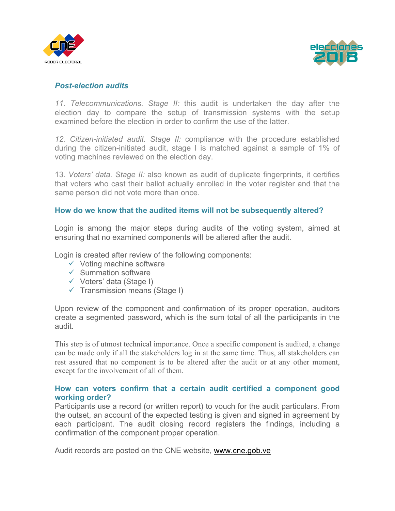



## *Post-election audits*

*11. Telecommunications. Stage II:* this audit is undertaken the day after the election day to compare the setup of transmission systems with the setup examined before the election in order to confirm the use of the latter.

*12. Citizen-initiated audit. Stage II:* compliance with the procedure established during the citizen-initiated audit, stage I is matched against a sample of 1% of voting machines reviewed on the election day.

13. *Voters' data. Stage II:* also known as audit of duplicate fingerprints, it certifies that voters who cast their ballot actually enrolled in the voter register and that the same person did not vote more than once.

### **How do we know that the audited items will not be subsequently altered?**

Login is among the major steps during audits of the voting system, aimed at ensuring that no examined components will be altered after the audit.

Login is created after review of the following components:

- $\checkmark$  Voting machine software
- $\checkmark$  Summation software
- $\checkmark$  Voters' data (Stage I)
- $\checkmark$  Transmission means (Stage I)

Upon review of the component and confirmation of its proper operation, auditors create a segmented password, which is the sum total of all the participants in the audit.

This step is of utmost technical importance. Once a specific component is audited, a change can be made only if all the stakeholders log in at the same time. Thus, all stakeholders can rest assured that no component is to be altered after the audit or at any other moment, except for the involvement of all of them.

## **How can voters confirm that a certain audit certified a component good working order?**

Participants use a record (or written report) to vouch for the audit particulars. From the outset, an account of the expected testing is given and signed in agreement by each participant. The audit closing record registers the findings, including a confirmation of the component proper operation.

Audit records are posted on the CNE website, www.cne.gob.ve